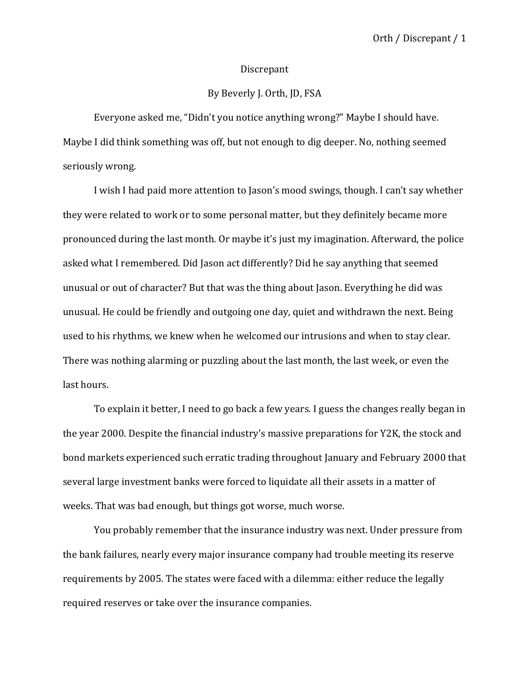## Discrepant

## By Beverly J. Orth, JD, FSA

Everyone asked me, "Didn't you notice anything wrong?" Maybe I should have. Maybe I did think something was off, but not enough to dig deeper. No, nothing seemed seriously wrong.

I wish I had paid more attention to Jason's mood swings, though. I can't say whether they were related to work or to some personal matter, but they definitely became more pronounced during the last month. Or maybe it's just my imagination. Afterward, the police asked what I remembered. Did Jason act differently? Did he say anything that seemed unusual or out of character? But that was the thing about Jason. Everything he did was unusual. He could be friendly and outgoing one day, quiet and withdrawn the next. Being used to his rhythms, we knew when he welcomed our intrusions and when to stay clear. There was nothing alarming or puzzling about the last month, the last week, or even the last hours.

To explain it better, I need to go back a few years. I guess the changes really began in the year 2000. Despite the financial industry's massive preparations for Y2K, the stock and bond markets experienced such erratic trading throughout January and February 2000 that several large investment banks were forced to liquidate all their assets in a matter of weeks. That was bad enough, but things got worse, much worse.

You probably remember that the insurance industry was next. Under pressure from the bank failures, nearly every major insurance company had trouble meeting its reserve requirements by 2005. The states were faced with a dilemma: either reduce the legally required reserves or take over the insurance companies.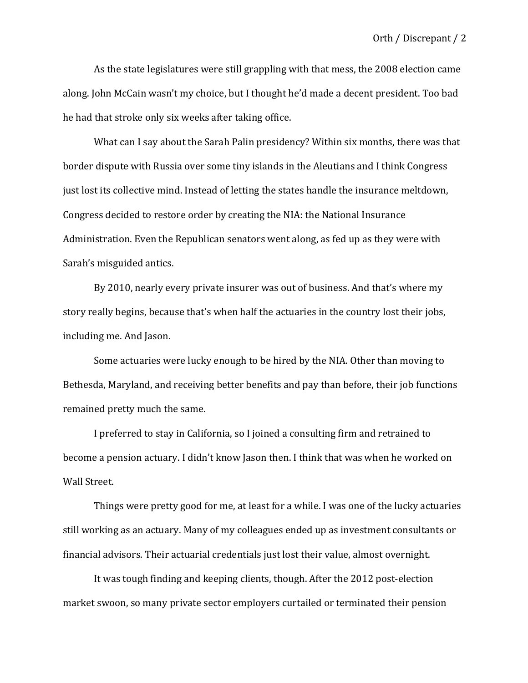As the state legislatures were still grappling with that mess, the 2008 election came along. John McCain wasn't my choice, but I thought he'd made a decent president. Too bad he had that stroke only six weeks after taking office.

What can I say about the Sarah Palin presidency? Within six months, there was that border dispute with Russia over some tiny islands in the Aleutians and I think Congress just lost its collective mind. Instead of letting the states handle the insurance meltdown, Congress decided to restore order by creating the NIA: the National Insurance Administration. Even the Republican senators went along, as fed up as they were with Sarah's misguided antics.

By 2010, nearly every private insurer was out of business. And that's where my story really begins, because that's when half the actuaries in the country lost their jobs, including me. And Jason.

Some actuaries were lucky enough to be hired by the NIA. Other than moving to Bethesda, Maryland, and receiving better benefits and pay than before, their job functions remained pretty much the same.

I preferred to stay in California, so I joined a consulting firm and retrained to become a pension actuary. I didn't know Jason then. I think that was when he worked on Wall Street.

Things were pretty good for me, at least for a while. I was one of the lucky actuaries still working as an actuary. Many of my colleagues ended up as investment consultants or financial advisors. Their actuarial credentials just lost their value, almost overnight.

It was tough finding and keeping clients, though. After the 2012 post-election market swoon, so many private sector employers curtailed or terminated their pension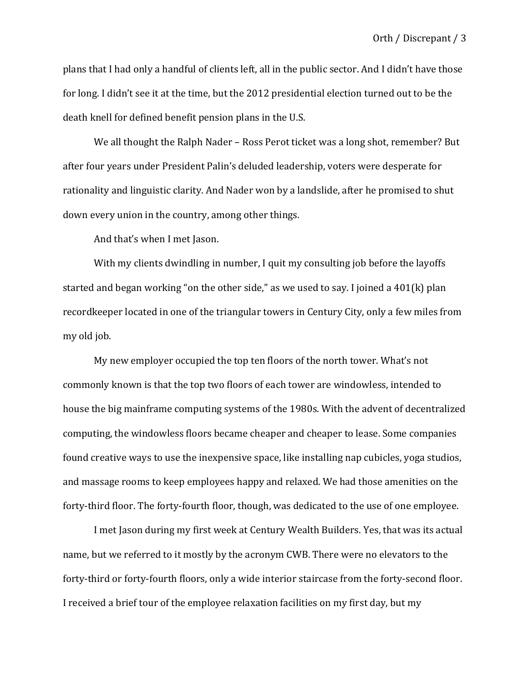plans that I had only a handful of clients left, all in the public sector. And I didn't have those for long. I didn't see it at the time, but the 2012 presidential election turned out to be the death knell for defined benefit pension plans in the U.S.

We all thought the Ralph Nader - Ross Perot ticket was a long shot, remember? But after four years under President Palin's deluded leadership, voters were desperate for rationality and linguistic clarity. And Nader won by a landslide, after he promised to shut down every union in the country, among other things.

And that's when I met Jason.

With my clients dwindling in number, I quit my consulting job before the layoffs started and began working "on the other side," as we used to say. I joined a  $401(k)$  plan recordkeeper located in one of the triangular towers in Century City, only a few miles from my old job.

My new employer occupied the top ten floors of the north tower. What's not commonly known is that the top two floors of each tower are windowless, intended to house the big mainframe computing systems of the 1980s. With the advent of decentralized computing, the windowless floors became cheaper and cheaper to lease. Some companies found creative ways to use the inexpensive space, like installing nap cubicles, yoga studios, and massage rooms to keep employees happy and relaxed. We had those amenities on the forty-third floor. The forty-fourth floor, though, was dedicated to the use of one employee.

I met Jason during my first week at Century Wealth Builders. Yes, that was its actual name, but we referred to it mostly by the acronym CWB. There were no elevators to the forty-third or forty-fourth floors, only a wide interior staircase from the forty-second floor. I received a brief tour of the employee relaxation facilities on my first day, but my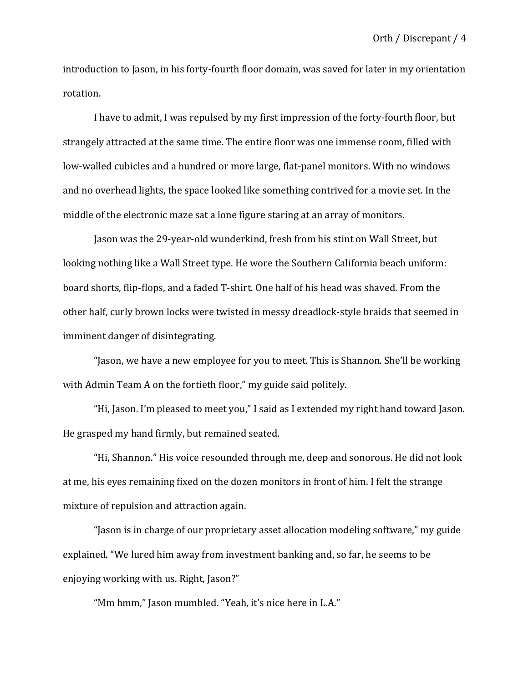introduction to Jason, in his forty-fourth floor domain, was saved for later in my orientation rotation.

I have to admit, I was repulsed by my first impression of the forty-fourth floor, but strangely attracted at the same time. The entire floor was one immense room, filled with low-walled cubicles and a hundred or more large, flat-panel monitors. With no windows and no overhead lights, the space looked like something contrived for a movie set. In the middle of the electronic maze sat a lone figure staring at an array of monitors.

Jason was the 29-year-old wunderkind, fresh from his stint on Wall Street, but looking nothing like a Wall Street type. He wore the Southern California beach uniform: board shorts, flip-flops, and a faded T-shirt. One half of his head was shaved. From the other half, curly brown locks were twisted in messy dreadlock-style braids that seemed in imminent danger of disintegrating.

"Jason, we have a new employee for you to meet. This is Shannon. She'll be working with Admin Team A on the fortieth floor," my guide said politely.

"Hi, Jason. I'm pleased to meet you," I said as I extended my right hand toward Jason. He grasped my hand firmly, but remained seated.

"Hi, Shannon." His voice resounded through me, deep and sonorous. He did not look at me, his eyes remaining fixed on the dozen monitors in front of him. I felt the strange mixture of repulsion and attraction again.

"Jason is in charge of our proprietary asset allocation modeling software," my guide explained. "We lured him away from investment banking and, so far, he seems to be enjoying working with us. Right, Jason?"

"Mm hmm," Jason mumbled. "Yeah, it's nice here in L.A."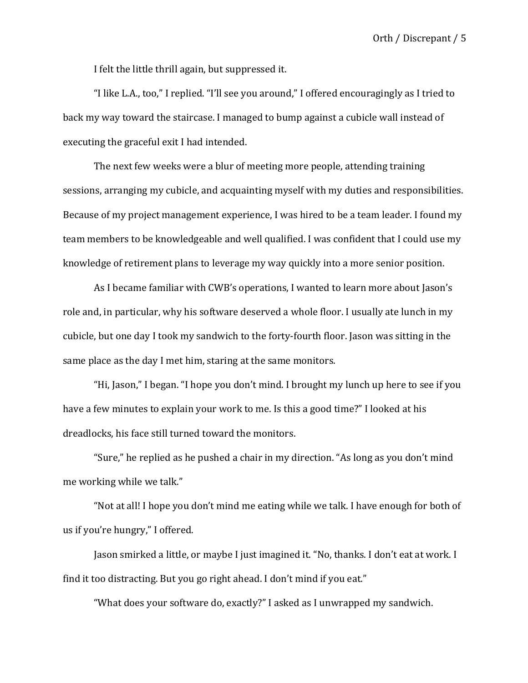I felt the little thrill again, but suppressed it.

"I like L.A., too," I replied. "I'll see you around," I offered encouragingly as I tried to back my way toward the staircase. I managed to bump against a cubicle wall instead of executing the graceful exit I had intended.

The next few weeks were a blur of meeting more people, attending training sessions, arranging my cubicle, and acquainting myself with my duties and responsibilities. Because of my project management experience, I was hired to be a team leader. I found my team members to be knowledgeable and well qualified. I was confident that I could use my knowledge of retirement plans to leverage my way quickly into a more senior position.

As I became familiar with CWB's operations, I wanted to learn more about Jason's role and, in particular, why his software deserved a whole floor. I usually ate lunch in my cubicle, but one day I took my sandwich to the forty-fourth floor. Jason was sitting in the same place as the day I met him, staring at the same monitors.

"Hi, Jason," I began. "I hope you don't mind. I brought my lunch up here to see if you have a few minutes to explain your work to me. Is this a good time?" I looked at his dreadlocks, his face still turned toward the monitors.

"Sure," he replied as he pushed a chair in my direction. "As long as you don't mind me working while we talk."

"Not at all! I hope you don't mind me eating while we talk. I have enough for both of us if you're hungry," I offered.

Jason smirked a little, or maybe I just imagined it. "No, thanks. I don't eat at work. I find it too distracting. But you go right ahead. I don't mind if you eat."

"What does your software do, exactly?" I asked as I unwrapped my sandwich.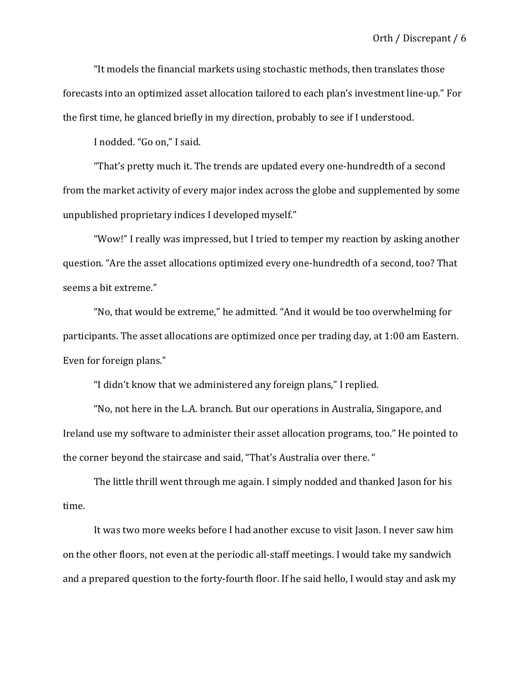"It models the financial markets using stochastic methods, then translates those forecasts into an optimized asset allocation tailored to each plan's investment line-up." For the first time, he glanced briefly in my direction, probably to see if I understood.

I nodded. "Go on," I said.

"That's pretty much it. The trends are updated every one-hundredth of a second from the market activity of every major index across the globe and supplemented by some unpublished proprietary indices I developed myself."

"Wow!" I really was impressed, but I tried to temper my reaction by asking another question. "Are the asset allocations optimized every one-hundredth of a second, too? That seems a bit extreme."

"No, that would be extreme," he admitted. "And it would be too overwhelming for participants. The asset allocations are optimized once per trading day, at 1:00 am Eastern. Even for foreign plans."

"I didn't know that we administered any foreign plans," I replied.

"No, not here in the L.A. branch. But our operations in Australia, Singapore, and Ireland use my software to administer their asset allocation programs, too." He pointed to the corner beyond the staircase and said, "That's Australia over there."

The little thrill went through me again. I simply nodded and thanked Jason for his time.

It was two more weeks before I had another excuse to visit Jason. I never saw him on the other floors, not even at the periodic all-staff meetings. I would take my sandwich and a prepared question to the forty-fourth floor. If he said hello, I would stay and ask my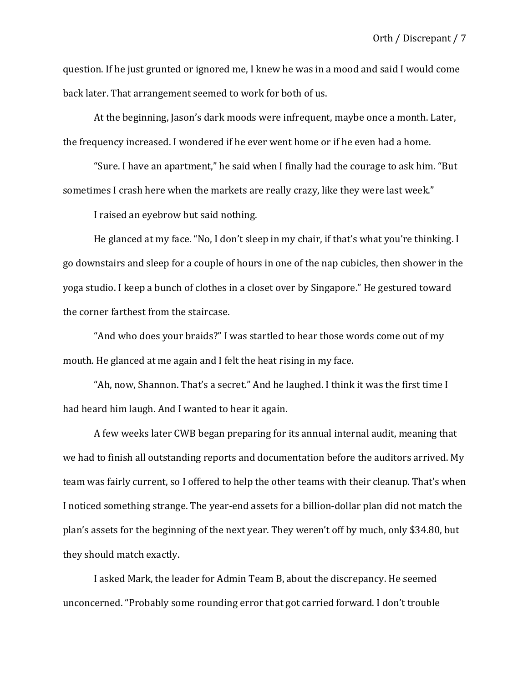question. If he just grunted or ignored me, I knew he was in a mood and said I would come back later. That arrangement seemed to work for both of us.

At the beginning, Jason's dark moods were infrequent, maybe once a month. Later, the frequency increased. I wondered if he ever went home or if he even had a home.

"Sure. I have an apartment," he said when I finally had the courage to ask him. "But sometimes I crash here when the markets are really crazy, like they were last week."

I raised an eyebrow but said nothing.

He glanced at my face. "No, I don't sleep in my chair, if that's what you're thinking. I go downstairs and sleep for a couple of hours in one of the nap cubicles, then shower in the yoga studio. I keep a bunch of clothes in a closet over by Singapore." He gestured toward the corner farthest from the staircase.

"And who does your braids?" I was startled to hear those words come out of my mouth. He glanced at me again and I felt the heat rising in my face.

"Ah, now, Shannon. That's a secret." And he laughed. I think it was the first time I had heard him laugh. And I wanted to hear it again.

A few weeks later CWB began preparing for its annual internal audit, meaning that we had to finish all outstanding reports and documentation before the auditors arrived. My team was fairly current, so I offered to help the other teams with their cleanup. That's when I noticed something strange. The year-end assets for a billion-dollar plan did not match the plan's assets for the beginning of the next year. They weren't off by much, only \$34.80, but they should match exactly.

I asked Mark, the leader for Admin Team B, about the discrepancy. He seemed unconcerned. "Probably some rounding error that got carried forward. I don't trouble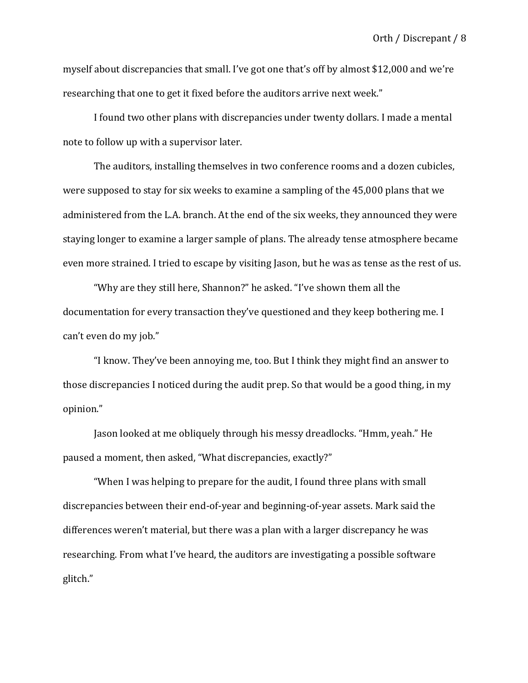myself about discrepancies that small. I've got one that's off by almost \$12,000 and we're researching that one to get it fixed before the auditors arrive next week."

I found two other plans with discrepancies under twenty dollars. I made a mental note to follow up with a supervisor later.

The auditors, installing themselves in two conference rooms and a dozen cubicles, were supposed to stay for six weeks to examine a sampling of the  $45,000$  plans that we administered from the L.A. branch. At the end of the six weeks, they announced they were staying longer to examine a larger sample of plans. The already tense atmosphere became even more strained. I tried to escape by visiting Jason, but he was as tense as the rest of us.

"Why are they still here, Shannon?" he asked. "I've shown them all the documentation for every transaction they've questioned and they keep bothering me. I can't even do my job."

"I know. They've been annoying me, too. But I think they might find an answer to those discrepancies I noticed during the audit prep. So that would be a good thing, in my opinion."

Jason looked at me obliquely through his messy dreadlocks. "Hmm, yeah." He paused a moment, then asked, "What discrepancies, exactly?"

"When I was helping to prepare for the audit, I found three plans with small discrepancies between their end-of-year and beginning-of-year assets. Mark said the differences weren't material, but there was a plan with a larger discrepancy he was researching. From what I've heard, the auditors are investigating a possible software glitch."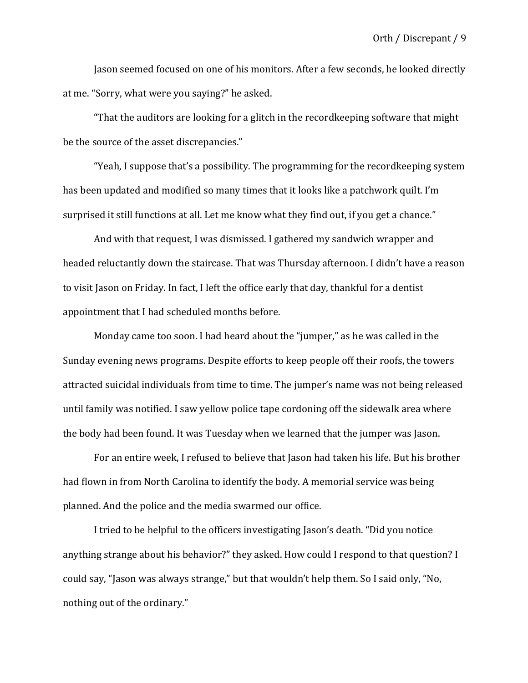Jason seemed focused on one of his monitors. After a few seconds, he looked directly at me. "Sorry, what were you saying?" he asked.

"That the auditors are looking for a glitch in the recordkeeping software that might be the source of the asset discrepancies."

"Yeah, I suppose that's a possibility. The programming for the recordkeeping system has been updated and modified so many times that it looks like a patchwork quilt. I'm surprised it still functions at all. Let me know what they find out, if you get a chance."

And with that request. I was dismissed. I gathered my sandwich wrapper and headed reluctantly down the staircase. That was Thursday afternoon. I didn't have a reason to visit Jason on Friday. In fact, I left the office early that day, thankful for a dentist appointment that I had scheduled months before.

Monday came too soon. I had heard about the "jumper," as he was called in the Sunday evening news programs. Despite efforts to keep people off their roofs, the towers attracted suicidal individuals from time to time. The jumper's name was not being released until family was notified. I saw yellow police tape cordoning off the sidewalk area where the body had been found. It was Tuesday when we learned that the jumper was Jason.

For an entire week, I refused to believe that Jason had taken his life. But his brother had flown in from North Carolina to identify the body. A memorial service was being planned. And the police and the media swarmed our office.

I tried to be helpful to the officers investigating Jason's death. "Did you notice anything strange about his behavior?" they asked. How could I respond to that question? I could say, "Jason was always strange," but that wouldn't help them. So I said only, "No, nothing out of the ordinary."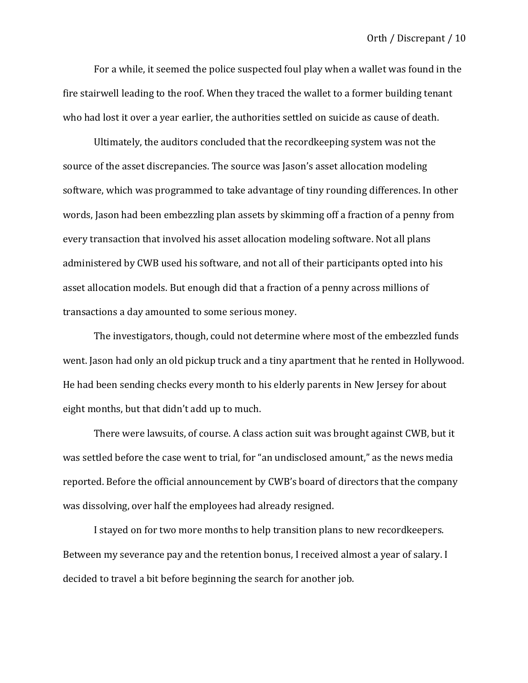For a while, it seemed the police suspected foul play when a wallet was found in the fire stairwell leading to the roof. When they traced the wallet to a former building tenant who had lost it over a year earlier, the authorities settled on suicide as cause of death.

Ultimately, the auditors concluded that the recordkeeping system was not the source of the asset discrepancies. The source was Jason's asset allocation modeling software, which was programmed to take advantage of tiny rounding differences. In other words, Jason had been embezzling plan assets by skimming off a fraction of a penny from every transaction that involved his asset allocation modeling software. Not all plans administered by CWB used his software, and not all of their participants opted into his asset allocation models. But enough did that a fraction of a penny across millions of transactions a day amounted to some serious money.

The investigators, though, could not determine where most of the embezzled funds went. Jason had only an old pickup truck and a tiny apartment that he rented in Hollywood. He had been sending checks every month to his elderly parents in New Jersey for about eight months, but that didn't add up to much.

There were lawsuits, of course. A class action suit was brought against CWB, but it was settled before the case went to trial, for "an undisclosed amount," as the news media reported. Before the official announcement by CWB's board of directors that the company was dissolving, over half the employees had already resigned.

I stayed on for two more months to help transition plans to new recordkeepers. Between my severance pay and the retention bonus, I received almost a year of salary. I decided to travel a bit before beginning the search for another job.